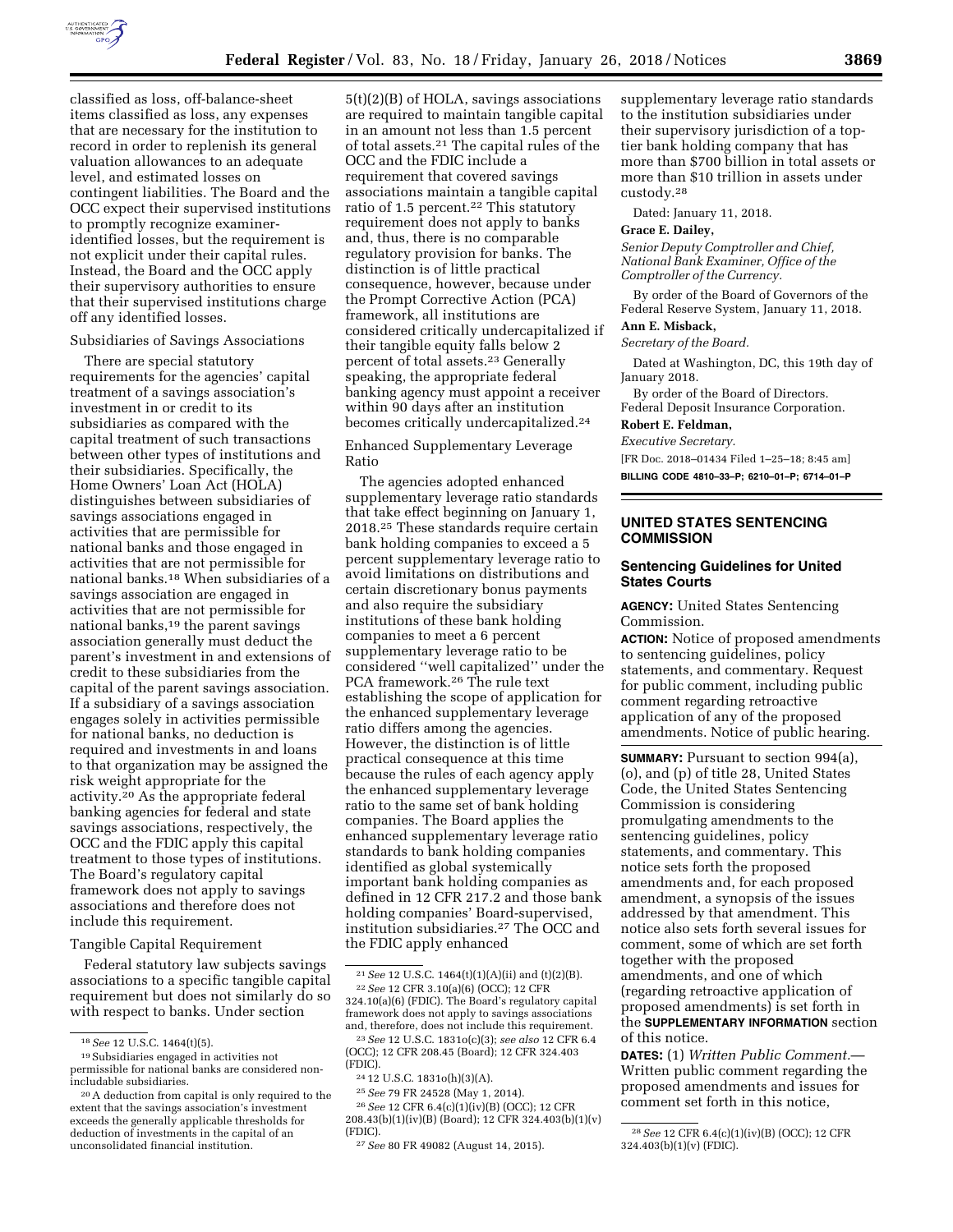

classified as loss, off-balance-sheet items classified as loss, any expenses that are necessary for the institution to record in order to replenish its general valuation allowances to an adequate level, and estimated losses on contingent liabilities. The Board and the OCC expect their supervised institutions to promptly recognize examineridentified losses, but the requirement is not explicit under their capital rules. Instead, the Board and the OCC apply their supervisory authorities to ensure that their supervised institutions charge off any identified losses.

#### Subsidiaries of Savings Associations

There are special statutory requirements for the agencies' capital treatment of a savings association's investment in or credit to its subsidiaries as compared with the capital treatment of such transactions between other types of institutions and their subsidiaries. Specifically, the Home Owners' Loan Act (HOLA) distinguishes between subsidiaries of savings associations engaged in activities that are permissible for national banks and those engaged in activities that are not permissible for national banks.18 When subsidiaries of a savings association are engaged in activities that are not permissible for national banks,<sup>19</sup> the parent savings association generally must deduct the parent's investment in and extensions of credit to these subsidiaries from the capital of the parent savings association. If a subsidiary of a savings association engages solely in activities permissible for national banks, no deduction is required and investments in and loans to that organization may be assigned the risk weight appropriate for the activity.20 As the appropriate federal banking agencies for federal and state savings associations, respectively, the OCC and the FDIC apply this capital treatment to those types of institutions. The Board's regulatory capital framework does not apply to savings associations and therefore does not include this requirement.

## Tangible Capital Requirement

Federal statutory law subjects savings associations to a specific tangible capital requirement but does not similarly do so with respect to banks. Under section

5(t)(2)(B) of HOLA, savings associations are required to maintain tangible capital in an amount not less than 1.5 percent of total assets.21 The capital rules of the OCC and the FDIC include a requirement that covered savings associations maintain a tangible capital ratio of 1.5 percent.22 This statutory requirement does not apply to banks and, thus, there is no comparable regulatory provision for banks. The distinction is of little practical consequence, however, because under the Prompt Corrective Action (PCA) framework, all institutions are considered critically undercapitalized if their tangible equity falls below 2 percent of total assets.23 Generally speaking, the appropriate federal banking agency must appoint a receiver within 90 days after an institution becomes critically undercapitalized.24

Enhanced Supplementary Leverage Ratio

The agencies adopted enhanced supplementary leverage ratio standards that take effect beginning on January 1, 2018.25 These standards require certain bank holding companies to exceed a 5 percent supplementary leverage ratio to avoid limitations on distributions and certain discretionary bonus payments and also require the subsidiary institutions of these bank holding companies to meet a 6 percent supplementary leverage ratio to be considered ''well capitalized'' under the PCA framework.26 The rule text establishing the scope of application for the enhanced supplementary leverage ratio differs among the agencies. However, the distinction is of little practical consequence at this time because the rules of each agency apply the enhanced supplementary leverage ratio to the same set of bank holding companies. The Board applies the enhanced supplementary leverage ratio standards to bank holding companies identified as global systemically important bank holding companies as defined in 12 CFR 217.2 and those bank holding companies' Board-supervised, institution subsidiaries.27 The OCC and the FDIC apply enhanced

25*See* 79 FR 24528 (May 1, 2014).

26*See* 12 CFR 6.4(c)(1)(iv)(B) (OCC); 12 CFR 208.43(b)(1)(iv)(B) (Board); 12 CFR 324.403(b)(1)(v) (FDIC).

supplementary leverage ratio standards to the institution subsidiaries under their supervisory jurisdiction of a toptier bank holding company that has more than \$700 billion in total assets or more than \$10 trillion in assets under custody.28

Dated: January 11, 2018.

## **Grace E. Dailey,**

*Senior Deputy Comptroller and Chief, National Bank Examiner, Office of the Comptroller of the Currency.* 

By order of the Board of Governors of the Federal Reserve System, January 11, 2018.

# **Ann E. Misback,**

*Secretary of the Board.* 

Dated at Washington, DC, this 19th day of January 2018.

By order of the Board of Directors. Federal Deposit Insurance Corporation.

**Robert E. Feldman,**  *Executive Secretary.* 

[FR Doc. 2018–01434 Filed 1–25–18; 8:45 am] **BILLING CODE 4810–33–P; 6210–01–P; 6714–01–P** 

## **UNITED STATES SENTENCING COMMISSION**

### **Sentencing Guidelines for United States Courts**

**AGENCY:** United States Sentencing Commission.

**ACTION:** Notice of proposed amendments to sentencing guidelines, policy statements, and commentary. Request for public comment, including public comment regarding retroactive application of any of the proposed amendments. Notice of public hearing.

**SUMMARY:** Pursuant to section 994(a), (o), and (p) of title 28, United States Code, the United States Sentencing Commission is considering promulgating amendments to the sentencing guidelines, policy statements, and commentary. This notice sets forth the proposed amendments and, for each proposed amendment, a synopsis of the issues addressed by that amendment. This notice also sets forth several issues for comment, some of which are set forth together with the proposed amendments, and one of which (regarding retroactive application of proposed amendments) is set forth in the **SUPPLEMENTARY INFORMATION** section of this notice.

**DATES:** (1) *Written Public Comment.*— Written public comment regarding the proposed amendments and issues for comment set forth in this notice,

<sup>18</sup>*See* 12 U.S.C. 1464(t)(5).

<sup>19</sup>Subsidiaries engaged in activities not permissible for national banks are considered nonincludable subsidiaries.

<sup>20</sup>A deduction from capital is only required to the extent that the savings association's investment exceeds the generally applicable thresholds for deduction of investments in the capital of an unconsolidated financial institution.

 $^{21}See$  12 U.S.C. 1464(t)(1)(A)(ii) and (t)(2)(B). 22*See* 12 CFR 3.10(a)(6) (OCC); 12 CFR 324.10(a)(6) (FDIC). The Board's regulatory capital framework does not apply to savings associations and, therefore, does not include this requirement.

<sup>23</sup>*See* 12 U.S.C. 1831o(c)(3); *see also* 12 CFR 6.4 (OCC); 12 CFR 208.45 (Board); 12 CFR 324.403 (FDIC).

<sup>24</sup> 12 U.S.C. 1831o(h)(3)(A).

<sup>27</sup>*See* 80 FR 49082 (August 14, 2015).

<sup>28</sup>*See* 12 CFR 6.4(c)(1)(iv)(B) (OCC); 12 CFR 324.403(b)(1)(v) (FDIC).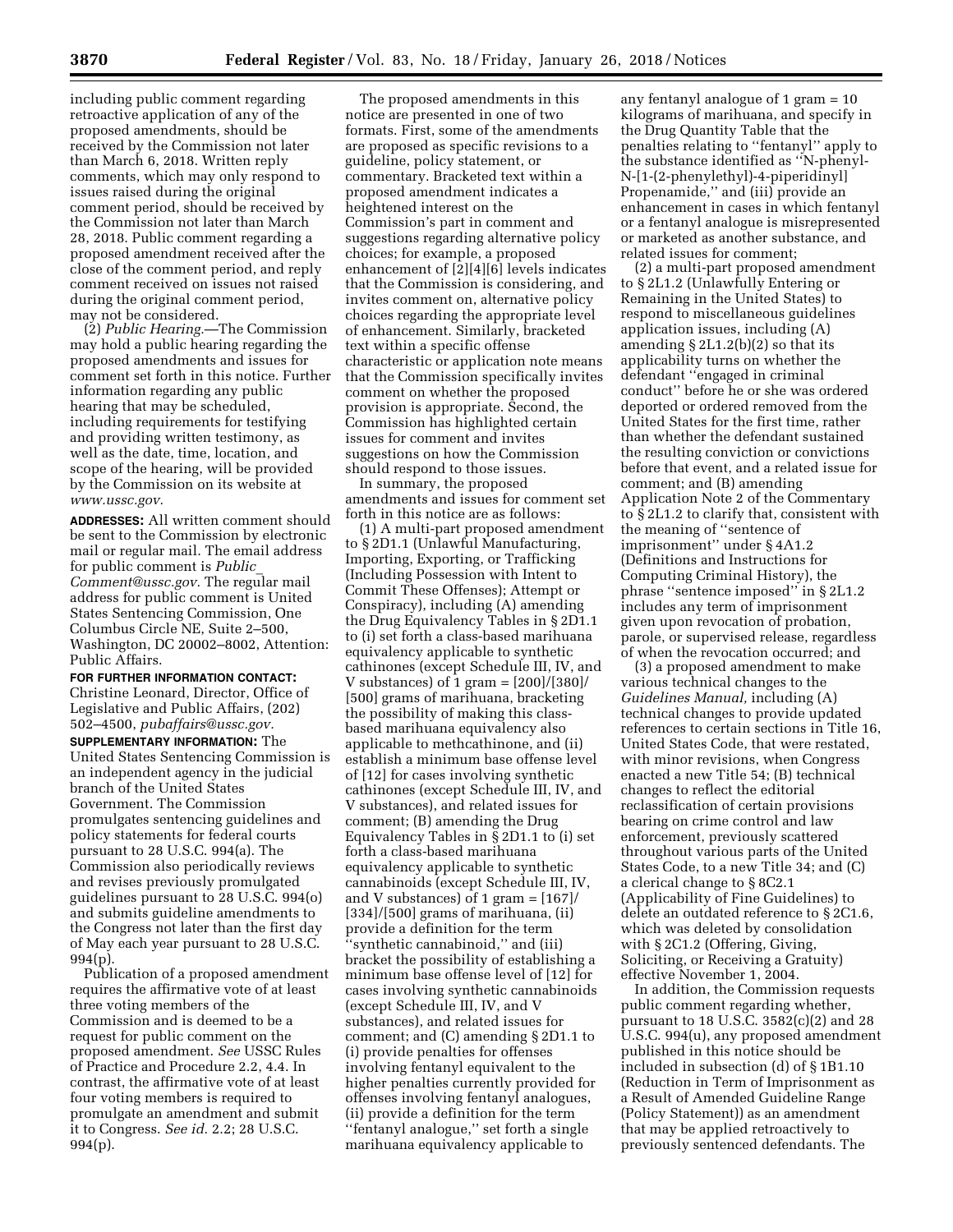including public comment regarding retroactive application of any of the proposed amendments, should be received by the Commission not later than March 6, 2018. Written reply comments, which may only respond to issues raised during the original comment period, should be received by the Commission not later than March 28, 2018. Public comment regarding a proposed amendment received after the close of the comment period, and reply comment received on issues not raised during the original comment period, may not be considered.

(2) *Public Hearing.*—The Commission may hold a public hearing regarding the proposed amendments and issues for comment set forth in this notice. Further information regarding any public hearing that may be scheduled, including requirements for testifying and providing written testimony, as well as the date, time, location, and scope of the hearing, will be provided by the Commission on its website at *[www.ussc.gov.](http://www.ussc.gov)* 

**ADDRESSES:** All written comment should be sent to the Commission by electronic mail or regular mail. The email address for public comment is *[Public](mailto:Public_Comment@ussc.gov)*\_ *[Comment@ussc.gov.](mailto:Public_Comment@ussc.gov)* The regular mail address for public comment is United States Sentencing Commission, One Columbus Circle NE, Suite 2–500, Washington, DC 20002–8002, Attention: Public Affairs.

**FOR FURTHER INFORMATION CONTACT:**  Christine Leonard, Director, Office of Legislative and Public Affairs, (202) 502–4500, *[pubaffairs@ussc.gov.](mailto:pubaffairs@ussc.gov)* 

**SUPPLEMENTARY INFORMATION:** The United States Sentencing Commission is an independent agency in the judicial branch of the United States Government. The Commission promulgates sentencing guidelines and policy statements for federal courts pursuant to 28 U.S.C. 994(a). The Commission also periodically reviews and revises previously promulgated guidelines pursuant to 28 U.S.C. 994(o) and submits guideline amendments to the Congress not later than the first day of May each year pursuant to 28 U.S.C. 994(p).

Publication of a proposed amendment requires the affirmative vote of at least three voting members of the Commission and is deemed to be a request for public comment on the proposed amendment. *See* USSC Rules of Practice and Procedure 2.2, 4.4. In contrast, the affirmative vote of at least four voting members is required to promulgate an amendment and submit it to Congress. *See id.* 2.2; 28 U.S.C. 994(p).

The proposed amendments in this notice are presented in one of two formats. First, some of the amendments are proposed as specific revisions to a guideline, policy statement, or commentary. Bracketed text within a proposed amendment indicates a heightened interest on the Commission's part in comment and suggestions regarding alternative policy choices; for example, a proposed enhancement of [2][4][6] levels indicates that the Commission is considering, and invites comment on, alternative policy choices regarding the appropriate level of enhancement. Similarly, bracketed text within a specific offense characteristic or application note means that the Commission specifically invites comment on whether the proposed provision is appropriate. Second, the Commission has highlighted certain issues for comment and invites suggestions on how the Commission should respond to those issues.

In summary, the proposed amendments and issues for comment set forth in this notice are as follows:

(1) A multi-part proposed amendment to § 2D1.1 (Unlawful Manufacturing, Importing, Exporting, or Trafficking (Including Possession with Intent to Commit These Offenses); Attempt or Conspiracy), including (A) amending the Drug Equivalency Tables in § 2D1.1 to (i) set forth a class-based marihuana equivalency applicable to synthetic cathinones (except Schedule III, IV, and V substances) of 1 gram = [200]/[380]/ [500] grams of marihuana, bracketing the possibility of making this classbased marihuana equivalency also applicable to methcathinone, and (ii) establish a minimum base offense level of [12] for cases involving synthetic cathinones (except Schedule III, IV, and V substances), and related issues for comment; (B) amending the Drug Equivalency Tables in § 2D1.1 to (i) set forth a class-based marihuana equivalency applicable to synthetic cannabinoids (except Schedule III, IV, and V substances) of 1 gram  $=$  [167]/  $[334]/[500]$  grams of marihuana,  $(ii)$ provide a definition for the term ''synthetic cannabinoid,'' and (iii) bracket the possibility of establishing a minimum base offense level of [12] for cases involving synthetic cannabinoids (except Schedule III, IV, and V substances), and related issues for comment; and (C) amending § 2D1.1 to (i) provide penalties for offenses involving fentanyl equivalent to the higher penalties currently provided for offenses involving fentanyl analogues, (ii) provide a definition for the term ''fentanyl analogue,'' set forth a single marihuana equivalency applicable to

any fentanyl analogue of 1 gram = 10 kilograms of marihuana, and specify in the Drug Quantity Table that the penalties relating to ''fentanyl'' apply to the substance identified as ''N-phenyl-N-[1-(2-phenylethyl)-4-piperidinyl] Propenamide,'' and (iii) provide an enhancement in cases in which fentanyl or a fentanyl analogue is misrepresented or marketed as another substance, and related issues for comment;

(2) a multi-part proposed amendment to § 2L1.2 (Unlawfully Entering or Remaining in the United States) to respond to miscellaneous guidelines application issues, including (A) amending § 2L1.2(b)(2) so that its applicability turns on whether the defendant ''engaged in criminal conduct'' before he or she was ordered deported or ordered removed from the United States for the first time, rather than whether the defendant sustained the resulting conviction or convictions before that event, and a related issue for comment; and (B) amending Application Note 2 of the Commentary to § 2L1.2 to clarify that, consistent with the meaning of ''sentence of imprisonment'' under § 4A1.2 (Definitions and Instructions for Computing Criminal History), the phrase ''sentence imposed'' in § 2L1.2 includes any term of imprisonment given upon revocation of probation, parole, or supervised release, regardless of when the revocation occurred; and

(3) a proposed amendment to make various technical changes to the *Guidelines Manual,* including (A) technical changes to provide updated references to certain sections in Title 16, United States Code, that were restated, with minor revisions, when Congress enacted a new Title 54; (B) technical changes to reflect the editorial reclassification of certain provisions bearing on crime control and law enforcement, previously scattered throughout various parts of the United States Code, to a new Title 34; and (C) a clerical change to § 8C2.1 (Applicability of Fine Guidelines) to delete an outdated reference to § 2C1.6, which was deleted by consolidation with § 2C1.2 (Offering, Giving, Soliciting, or Receiving a Gratuity) effective November 1, 2004.

In addition, the Commission requests public comment regarding whether, pursuant to 18 U.S.C. 3582(c)(2) and 28 U.S.C. 994(u), any proposed amendment published in this notice should be included in subsection (d) of § 1B1.10 (Reduction in Term of Imprisonment as a Result of Amended Guideline Range (Policy Statement)) as an amendment that may be applied retroactively to previously sentenced defendants. The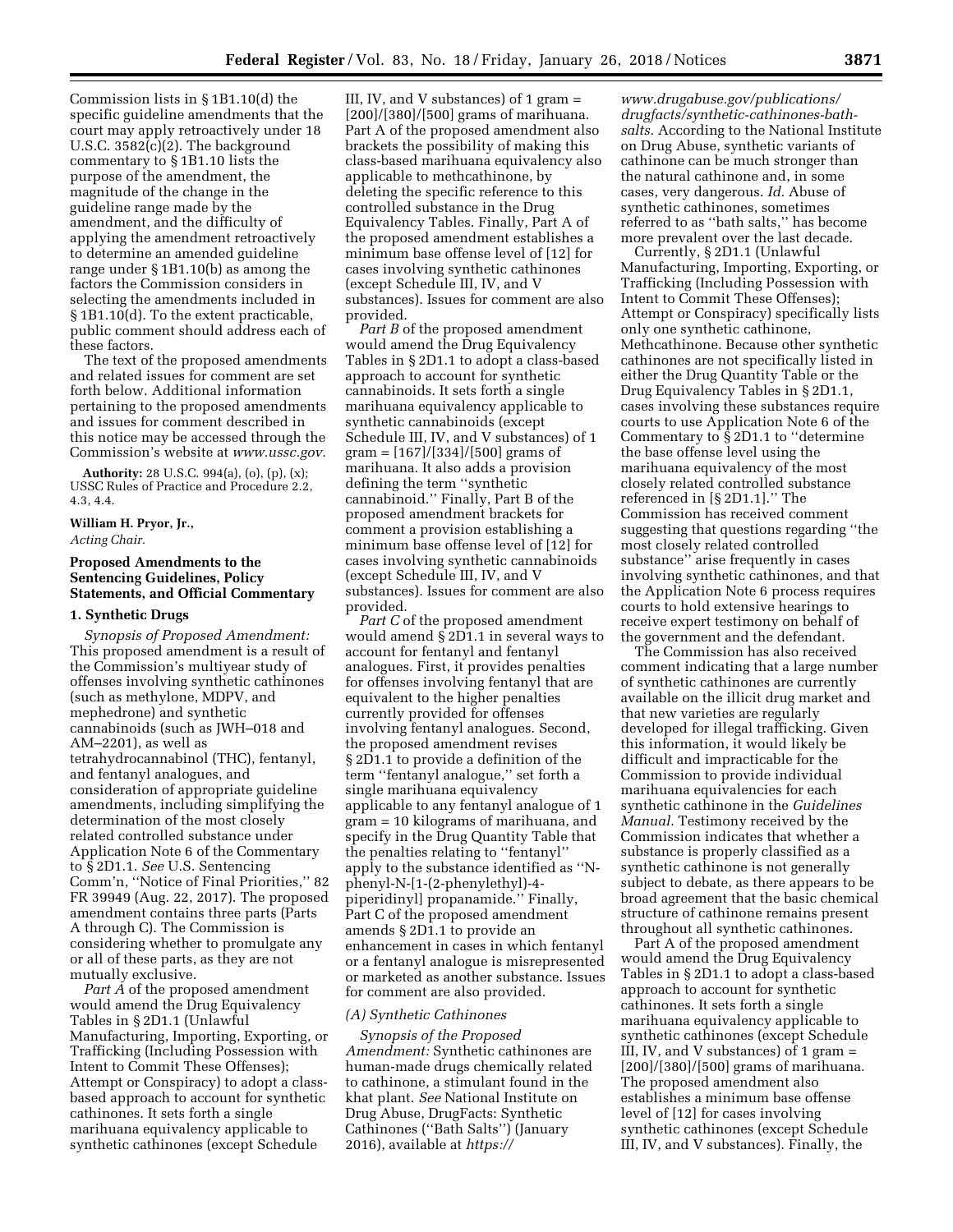Commission lists in § 1B1.10(d) the specific guideline amendments that the court may apply retroactively under 18 U.S.C. 3582(c)(2). The background commentary to § 1B1.10 lists the purpose of the amendment, the magnitude of the change in the guideline range made by the amendment, and the difficulty of applying the amendment retroactively to determine an amended guideline range under § 1B1.10(b) as among the factors the Commission considers in selecting the amendments included in § 1B1.10(d). To the extent practicable, public comment should address each of these factors.

The text of the proposed amendments and related issues for comment are set forth below. Additional information pertaining to the proposed amendments and issues for comment described in this notice may be accessed through the Commission's website at *[www.ussc.gov.](http://www.ussc.gov)* 

**Authority:** 28 U.S.C. 994(a), (o), (p), (x); USSC Rules of Practice and Procedure 2.2, 4.3, 4.4.

## **William H. Pryor, Jr.,**  *Acting Chair.*

## **Proposed Amendments to the Sentencing Guidelines, Policy Statements, and Official Commentary**

### **1. Synthetic Drugs**

*Synopsis of Proposed Amendment:*  This proposed amendment is a result of the Commission's multiyear study of offenses involving synthetic cathinones (such as methylone, MDPV, and mephedrone) and synthetic cannabinoids (such as JWH–018 and AM–2201), as well as tetrahydrocannabinol (THC), fentanyl, and fentanyl analogues, and consideration of appropriate guideline amendments, including simplifying the determination of the most closely related controlled substance under Application Note 6 of the Commentary to § 2D1.1. *See* U.S. Sentencing Comm'n, ''Notice of Final Priorities,'' 82 FR 39949 (Aug. 22, 2017). The proposed amendment contains three parts (Parts A through C). The Commission is considering whether to promulgate any or all of these parts, as they are not mutually exclusive.

*Part A* of the proposed amendment would amend the Drug Equivalency Tables in § 2D1.1 (Unlawful Manufacturing, Importing, Exporting, or Trafficking (Including Possession with Intent to Commit These Offenses); Attempt or Conspiracy) to adopt a classbased approach to account for synthetic cathinones. It sets forth a single marihuana equivalency applicable to synthetic cathinones (except Schedule

III, IV, and V substances) of 1 gram  $=$ [200]/[380]/[500] grams of marihuana. Part A of the proposed amendment also brackets the possibility of making this class-based marihuana equivalency also applicable to methcathinone, by deleting the specific reference to this controlled substance in the Drug Equivalency Tables. Finally, Part A of the proposed amendment establishes a minimum base offense level of [12] for cases involving synthetic cathinones (except Schedule III, IV, and V substances). Issues for comment are also provided.

*Part B* of the proposed amendment would amend the Drug Equivalency Tables in § 2D1.1 to adopt a class-based approach to account for synthetic cannabinoids. It sets forth a single marihuana equivalency applicable to synthetic cannabinoids (except Schedule III, IV, and V substances) of 1 gram = [167]/[334]/[500] grams of marihuana. It also adds a provision defining the term ''synthetic cannabinoid.'' Finally, Part B of the proposed amendment brackets for comment a provision establishing a minimum base offense level of [12] for cases involving synthetic cannabinoids (except Schedule III, IV, and V substances). Issues for comment are also provided.

*Part C* of the proposed amendment would amend § 2D1.1 in several ways to account for fentanyl and fentanyl analogues. First, it provides penalties for offenses involving fentanyl that are equivalent to the higher penalties currently provided for offenses involving fentanyl analogues. Second, the proposed amendment revises § 2D1.1 to provide a definition of the term ''fentanyl analogue,'' set forth a single marihuana equivalency applicable to any fentanyl analogue of 1 gram = 10 kilograms of marihuana, and specify in the Drug Quantity Table that the penalties relating to ''fentanyl'' apply to the substance identified as ''Nphenyl-N-[1-(2-phenylethyl)-4 piperidinyl] propanamide.'' Finally, Part C of the proposed amendment amends § 2D1.1 to provide an enhancement in cases in which fentanyl or a fentanyl analogue is misrepresented or marketed as another substance. Issues for comment are also provided.

#### *(A) Synthetic Cathinones*

*Synopsis of the Proposed Amendment:* Synthetic cathinones are human-made drugs chemically related to cathinone, a stimulant found in the khat plant. *See* National Institute on Drug Abuse, DrugFacts: Synthetic Cathinones (''Bath Salts'') (January 2016), available at *[https://](https://www.drugabuse.gov/publications/drugfacts/synthetic-cathinones-bath-salts)*

*[www.drugabuse.gov/publications/](https://www.drugabuse.gov/publications/drugfacts/synthetic-cathinones-bath-salts)  [drugfacts/synthetic-cathinones-bath](https://www.drugabuse.gov/publications/drugfacts/synthetic-cathinones-bath-salts)[salts.](https://www.drugabuse.gov/publications/drugfacts/synthetic-cathinones-bath-salts)* According to the National Institute on Drug Abuse, synthetic variants of cathinone can be much stronger than the natural cathinone and, in some cases, very dangerous. *Id.* Abuse of synthetic cathinones, sometimes referred to as ''bath salts,'' has become more prevalent over the last decade.

Currently, § 2D1.1 (Unlawful Manufacturing, Importing, Exporting, or Trafficking (Including Possession with Intent to Commit These Offenses); Attempt or Conspiracy) specifically lists only one synthetic cathinone, Methcathinone. Because other synthetic cathinones are not specifically listed in either the Drug Quantity Table or the Drug Equivalency Tables in § 2D1.1, cases involving these substances require courts to use Application Note 6 of the Commentary to § 2D1.1 to ''determine the base offense level using the marihuana equivalency of the most closely related controlled substance referenced in [§ 2D1.1].'' The Commission has received comment suggesting that questions regarding ''the most closely related controlled substance'' arise frequently in cases involving synthetic cathinones, and that the Application Note 6 process requires courts to hold extensive hearings to receive expert testimony on behalf of the government and the defendant.

The Commission has also received comment indicating that a large number of synthetic cathinones are currently available on the illicit drug market and that new varieties are regularly developed for illegal trafficking. Given this information, it would likely be difficult and impracticable for the Commission to provide individual marihuana equivalencies for each synthetic cathinone in the *Guidelines Manual.* Testimony received by the Commission indicates that whether a substance is properly classified as a synthetic cathinone is not generally subject to debate, as there appears to be broad agreement that the basic chemical structure of cathinone remains present throughout all synthetic cathinones.

Part A of the proposed amendment would amend the Drug Equivalency Tables in § 2D1.1 to adopt a class-based approach to account for synthetic cathinones. It sets forth a single marihuana equivalency applicable to synthetic cathinones (except Schedule III, IV, and V substances) of 1 gram = [200]/[380]/[500] grams of marihuana. The proposed amendment also establishes a minimum base offense level of [12] for cases involving synthetic cathinones (except Schedule III, IV, and V substances). Finally, the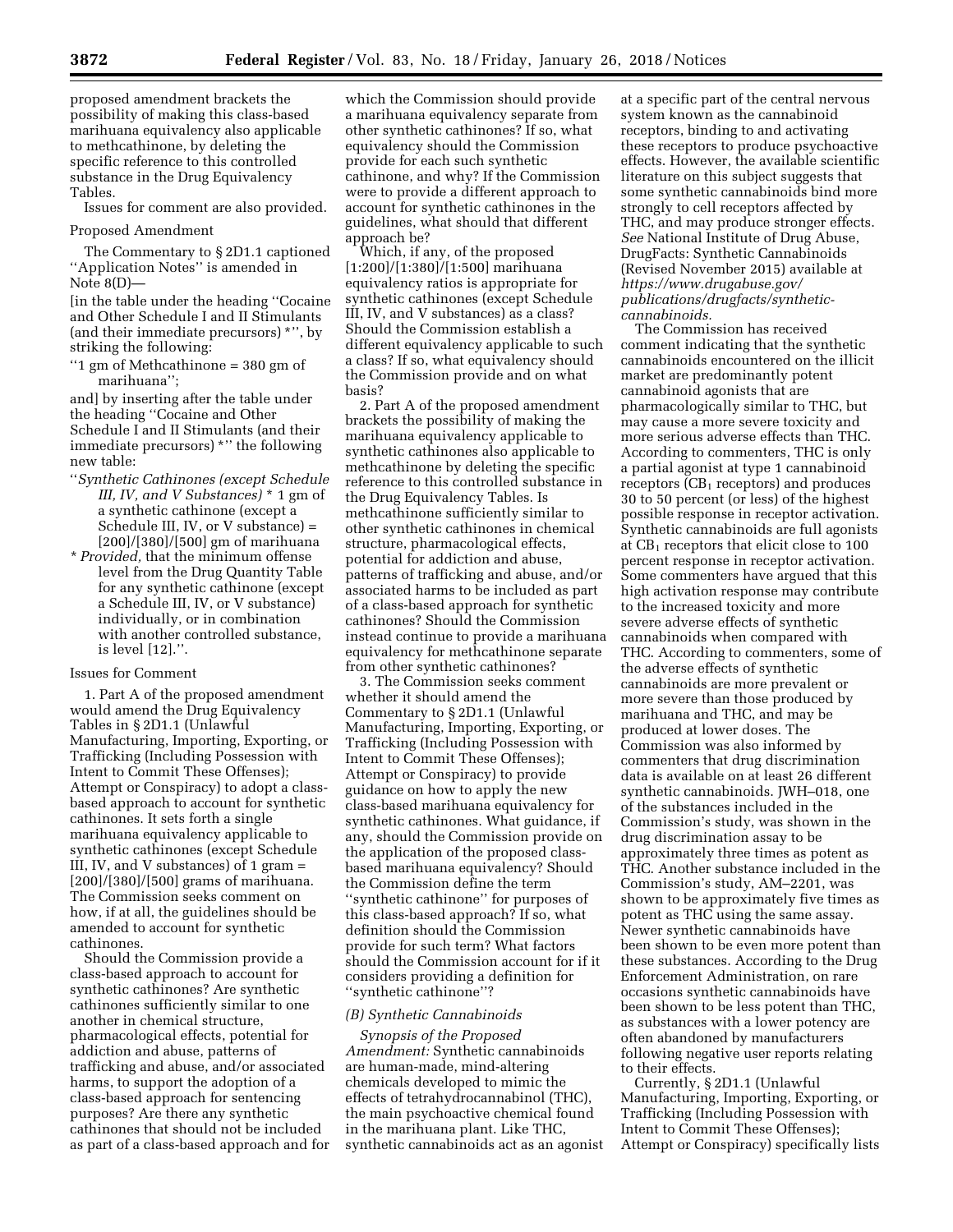proposed amendment brackets the possibility of making this class-based marihuana equivalency also applicable to methcathinone, by deleting the specific reference to this controlled substance in the Drug Equivalency Tables.

Issues for comment are also provided.

#### Proposed Amendment

The Commentary to § 2D1.1 captioned ''Application Notes'' is amended in Note 8(D)—

[in the table under the heading ''Cocaine and Other Schedule I and II Stimulants (and their immediate precursors) \*'', by striking the following:

''1 gm of Methcathinone = 380 gm of marihuana'';

and] by inserting after the table under the heading ''Cocaine and Other Schedule I and II Stimulants (and their immediate precursors) \*" the following new table:

- ''*Synthetic Cathinones (except Schedule III, IV, and V Substances)* \* 1 gm of a synthetic cathinone (except a Schedule III, IV, or V substance) = [200]/[380]/[500] gm of marihuana
- \* *Provided,* that the minimum offense level from the Drug Quantity Table for any synthetic cathinone (except a Schedule III, IV, or V substance) individually, or in combination with another controlled substance, is level [12].''.

### Issues for Comment

1. Part A of the proposed amendment would amend the Drug Equivalency Tables in § 2D1.1 (Unlawful Manufacturing, Importing, Exporting, or Trafficking (Including Possession with Intent to Commit These Offenses); Attempt or Conspiracy) to adopt a classbased approach to account for synthetic cathinones. It sets forth a single marihuana equivalency applicable to synthetic cathinones (except Schedule III, IV, and V substances) of 1 gram = [200]/[380]/[500] grams of marihuana. The Commission seeks comment on how, if at all, the guidelines should be amended to account for synthetic cathinones.

Should the Commission provide a class-based approach to account for synthetic cathinones? Are synthetic cathinones sufficiently similar to one another in chemical structure, pharmacological effects, potential for addiction and abuse, patterns of trafficking and abuse, and/or associated harms, to support the adoption of a class-based approach for sentencing purposes? Are there any synthetic cathinones that should not be included as part of a class-based approach and for

which the Commission should provide a marihuana equivalency separate from other synthetic cathinones? If so, what equivalency should the Commission provide for each such synthetic cathinone, and why? If the Commission were to provide a different approach to account for synthetic cathinones in the guidelines, what should that different approach be?

Which, if any, of the proposed [1:200]/[1:380]/[1:500] marihuana equivalency ratios is appropriate for synthetic cathinones (except Schedule III, IV, and V substances) as a class? Should the Commission establish a different equivalency applicable to such a class? If so, what equivalency should the Commission provide and on what basis?

2. Part A of the proposed amendment brackets the possibility of making the marihuana equivalency applicable to synthetic cathinones also applicable to methcathinone by deleting the specific reference to this controlled substance in the Drug Equivalency Tables. Is methcathinone sufficiently similar to other synthetic cathinones in chemical structure, pharmacological effects, potential for addiction and abuse, patterns of trafficking and abuse, and/or associated harms to be included as part of a class-based approach for synthetic cathinones? Should the Commission instead continue to provide a marihuana equivalency for methcathinone separate from other synthetic cathinones?

3. The Commission seeks comment whether it should amend the Commentary to § 2D1.1 (Unlawful Manufacturing, Importing, Exporting, or Trafficking (Including Possession with Intent to Commit These Offenses); Attempt or Conspiracy) to provide guidance on how to apply the new class-based marihuana equivalency for synthetic cathinones. What guidance, if any, should the Commission provide on the application of the proposed classbased marihuana equivalency? Should the Commission define the term ''synthetic cathinone'' for purposes of this class-based approach? If so, what definition should the Commission provide for such term? What factors should the Commission account for if it considers providing a definition for ''synthetic cathinone''?

#### *(B) Synthetic Cannabinoids*

*Synopsis of the Proposed Amendment:* Synthetic cannabinoids are human-made, mind-altering chemicals developed to mimic the effects of tetrahydrocannabinol (THC), the main psychoactive chemical found in the marihuana plant. Like THC, synthetic cannabinoids act as an agonist at a specific part of the central nervous system known as the cannabinoid receptors, binding to and activating these receptors to produce psychoactive effects. However, the available scientific literature on this subject suggests that some synthetic cannabinoids bind more strongly to cell receptors affected by THC, and may produce stronger effects. *See* National Institute of Drug Abuse, DrugFacts: Synthetic Cannabinoids (Revised November 2015) available at *[https://www.drugabuse.gov/](https://www.drugabuse.gov/publications/drugfacts/synthetic-cannabinoids)  [publications/drugfacts/synthetic](https://www.drugabuse.gov/publications/drugfacts/synthetic-cannabinoids)[cannabinoids.](https://www.drugabuse.gov/publications/drugfacts/synthetic-cannabinoids)* 

The Commission has received comment indicating that the synthetic cannabinoids encountered on the illicit market are predominantly potent cannabinoid agonists that are pharmacologically similar to THC, but may cause a more severe toxicity and more serious adverse effects than THC. According to commenters, THC is only a partial agonist at type 1 cannabinoid receptors  $(CB<sub>1</sub>$  receptors) and produces 30 to 50 percent (or less) of the highest possible response in receptor activation. Synthetic cannabinoids are full agonists at  $CB_1$  receptors that elicit close to 100 percent response in receptor activation. Some commenters have argued that this high activation response may contribute to the increased toxicity and more severe adverse effects of synthetic cannabinoids when compared with THC. According to commenters, some of the adverse effects of synthetic cannabinoids are more prevalent or more severe than those produced by marihuana and THC, and may be produced at lower doses. The Commission was also informed by commenters that drug discrimination data is available on at least 26 different synthetic cannabinoids. JWH–018, one of the substances included in the Commission's study, was shown in the drug discrimination assay to be approximately three times as potent as THC. Another substance included in the Commission's study, AM–2201, was shown to be approximately five times as potent as THC using the same assay. Newer synthetic cannabinoids have been shown to be even more potent than these substances. According to the Drug Enforcement Administration, on rare occasions synthetic cannabinoids have been shown to be less potent than THC, as substances with a lower potency are often abandoned by manufacturers following negative user reports relating to their effects.

Currently, § 2D1.1 (Unlawful Manufacturing, Importing, Exporting, or Trafficking (Including Possession with Intent to Commit These Offenses); Attempt or Conspiracy) specifically lists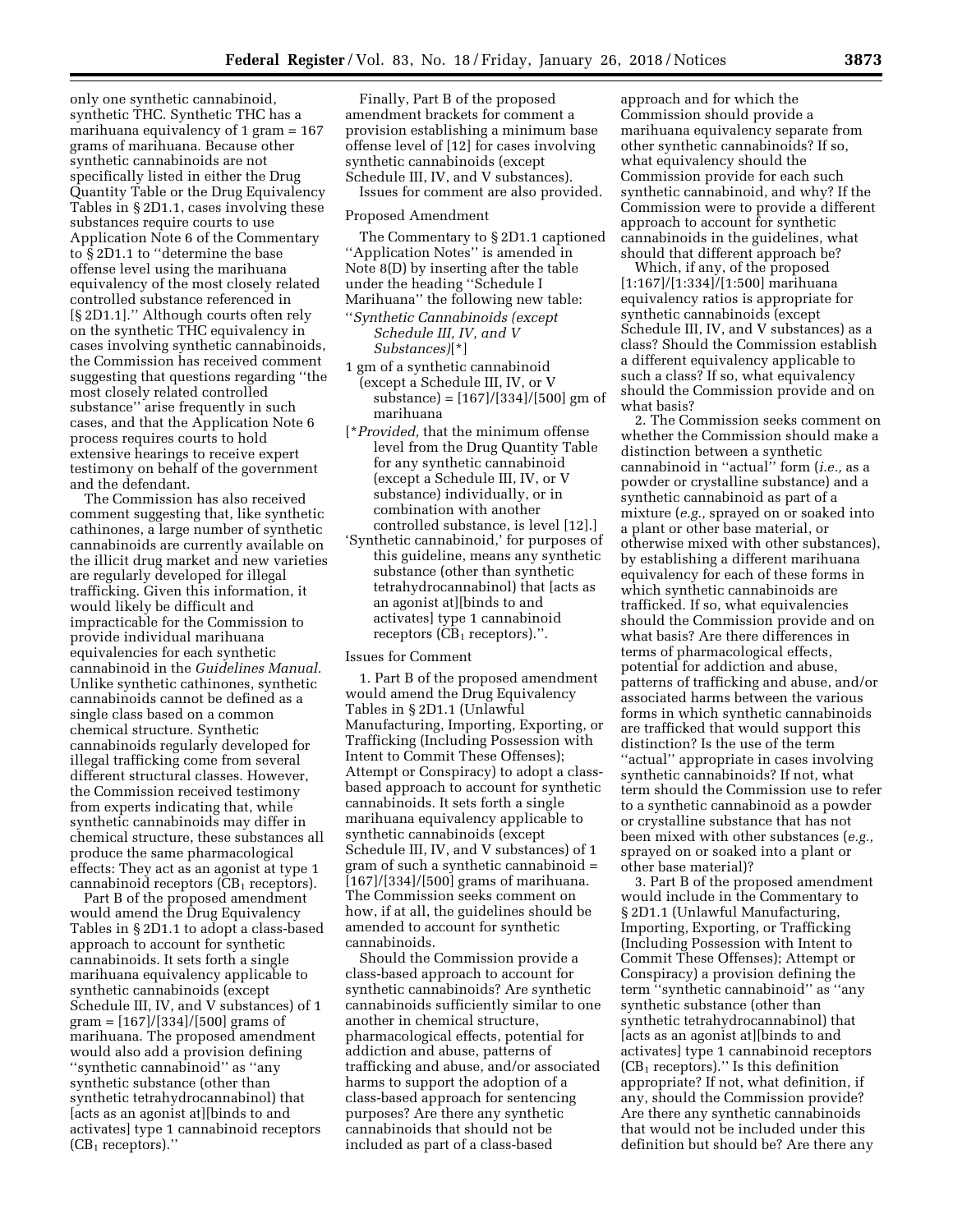only one synthetic cannabinoid, synthetic THC. Synthetic THC has a marihuana equivalency of 1 gram = 167 grams of marihuana. Because other synthetic cannabinoids are not specifically listed in either the Drug Quantity Table or the Drug Equivalency Tables in § 2D1.1, cases involving these substances require courts to use Application Note 6 of the Commentary to § 2D1.1 to ''determine the base offense level using the marihuana equivalency of the most closely related controlled substance referenced in [§ 2D1.1].'' Although courts often rely on the synthetic THC equivalency in cases involving synthetic cannabinoids, the Commission has received comment suggesting that questions regarding ''the most closely related controlled substance'' arise frequently in such cases, and that the Application Note 6 process requires courts to hold extensive hearings to receive expert testimony on behalf of the government and the defendant.

The Commission has also received comment suggesting that, like synthetic cathinones, a large number of synthetic cannabinoids are currently available on the illicit drug market and new varieties are regularly developed for illegal trafficking. Given this information, it would likely be difficult and impracticable for the Commission to provide individual marihuana equivalencies for each synthetic cannabinoid in the *Guidelines Manual.*  Unlike synthetic cathinones, synthetic cannabinoids cannot be defined as a single class based on a common chemical structure. Synthetic cannabinoids regularly developed for illegal trafficking come from several different structural classes. However, the Commission received testimony from experts indicating that, while synthetic cannabinoids may differ in chemical structure, these substances all produce the same pharmacological effects: They act as an agonist at type 1 cannabinoid receptors  $(CB<sub>1</sub>$  receptors).

Part B of the proposed amendment would amend the Drug Equivalency Tables in § 2D1.1 to adopt a class-based approach to account for synthetic cannabinoids. It sets forth a single marihuana equivalency applicable to synthetic cannabinoids (except Schedule III, IV, and V substances) of 1 gram = [167]/[334]/[500] grams of marihuana. The proposed amendment would also add a provision defining ''synthetic cannabinoid'' as ''any synthetic substance (other than synthetic tetrahydrocannabinol) that [acts as an agonist at][binds to and activates] type 1 cannabinoid receptors  $(CB<sub>1</sub> receptors).$ 

Finally, Part B of the proposed amendment brackets for comment a provision establishing a minimum base offense level of [12] for cases involving synthetic cannabinoids (except Schedule III, IV, and V substances).

Issues for comment are also provided.

#### Proposed Amendment

The Commentary to § 2D1.1 captioned ''Application Notes'' is amended in Note 8(D) by inserting after the table under the heading ''Schedule I Marihuana'' the following new table:

- ''*Synthetic Cannabinoids (except Schedule III, IV, and V Substances)*[\*]
- 1 gm of a synthetic cannabinoid (except a Schedule III, IV, or V substance) = [167]/[334]/[500] gm of marihuana
- [\**Provided,* that the minimum offense level from the Drug Quantity Table for any synthetic cannabinoid (except a Schedule III, IV, or V substance) individually, or in combination with another controlled substance, is level [12].]
- 'Synthetic cannabinoid,' for purposes of this guideline, means any synthetic substance (other than synthetic tetrahydrocannabinol) that [acts as an agonist at][binds to and activates] type 1 cannabinoid receptors  $(CB<sub>1</sub>$  receptors).".

#### Issues for Comment

1. Part B of the proposed amendment would amend the Drug Equivalency Tables in § 2D1.1 (Unlawful Manufacturing, Importing, Exporting, or Trafficking (Including Possession with Intent to Commit These Offenses); Attempt or Conspiracy) to adopt a classbased approach to account for synthetic cannabinoids. It sets forth a single marihuana equivalency applicable to synthetic cannabinoids (except Schedule III, IV, and V substances) of 1 gram of such a synthetic cannabinoid = [167]/[334]/[500] grams of marihuana. The Commission seeks comment on how, if at all, the guidelines should be amended to account for synthetic cannabinoids.

Should the Commission provide a class-based approach to account for synthetic cannabinoids? Are synthetic cannabinoids sufficiently similar to one another in chemical structure, pharmacological effects, potential for addiction and abuse, patterns of trafficking and abuse, and/or associated harms to support the adoption of a class-based approach for sentencing purposes? Are there any synthetic cannabinoids that should not be included as part of a class-based

approach and for which the Commission should provide a marihuana equivalency separate from other synthetic cannabinoids? If so, what equivalency should the Commission provide for each such synthetic cannabinoid, and why? If the Commission were to provide a different approach to account for synthetic cannabinoids in the guidelines, what should that different approach be?

Which, if any, of the proposed [1:167]/[1:334]/[1:500] marihuana equivalency ratios is appropriate for synthetic cannabinoids (except Schedule III, IV, and V substances) as a class? Should the Commission establish a different equivalency applicable to such a class? If so, what equivalency should the Commission provide and on what basis?

2. The Commission seeks comment on whether the Commission should make a distinction between a synthetic cannabinoid in ''actual'' form (*i.e.,* as a powder or crystalline substance) and a synthetic cannabinoid as part of a mixture (*e.g.,* sprayed on or soaked into a plant or other base material, or otherwise mixed with other substances), by establishing a different marihuana equivalency for each of these forms in which synthetic cannabinoids are trafficked. If so, what equivalencies should the Commission provide and on what basis? Are there differences in terms of pharmacological effects, potential for addiction and abuse, patterns of trafficking and abuse, and/or associated harms between the various forms in which synthetic cannabinoids are trafficked that would support this distinction? Is the use of the term ''actual'' appropriate in cases involving synthetic cannabinoids? If not, what term should the Commission use to refer to a synthetic cannabinoid as a powder or crystalline substance that has not been mixed with other substances (*e.g.,*  sprayed on or soaked into a plant or other base material)?

3. Part B of the proposed amendment would include in the Commentary to § 2D1.1 (Unlawful Manufacturing, Importing, Exporting, or Trafficking (Including Possession with Intent to Commit These Offenses); Attempt or Conspiracy) a provision defining the term ''synthetic cannabinoid'' as ''any synthetic substance (other than synthetic tetrahydrocannabinol) that [acts as an agonist at][binds to and activates] type 1 cannabinoid receptors  $(CB<sub>1</sub> receptors).''$  Is this definition appropriate? If not, what definition, if any, should the Commission provide? Are there any synthetic cannabinoids that would not be included under this definition but should be? Are there any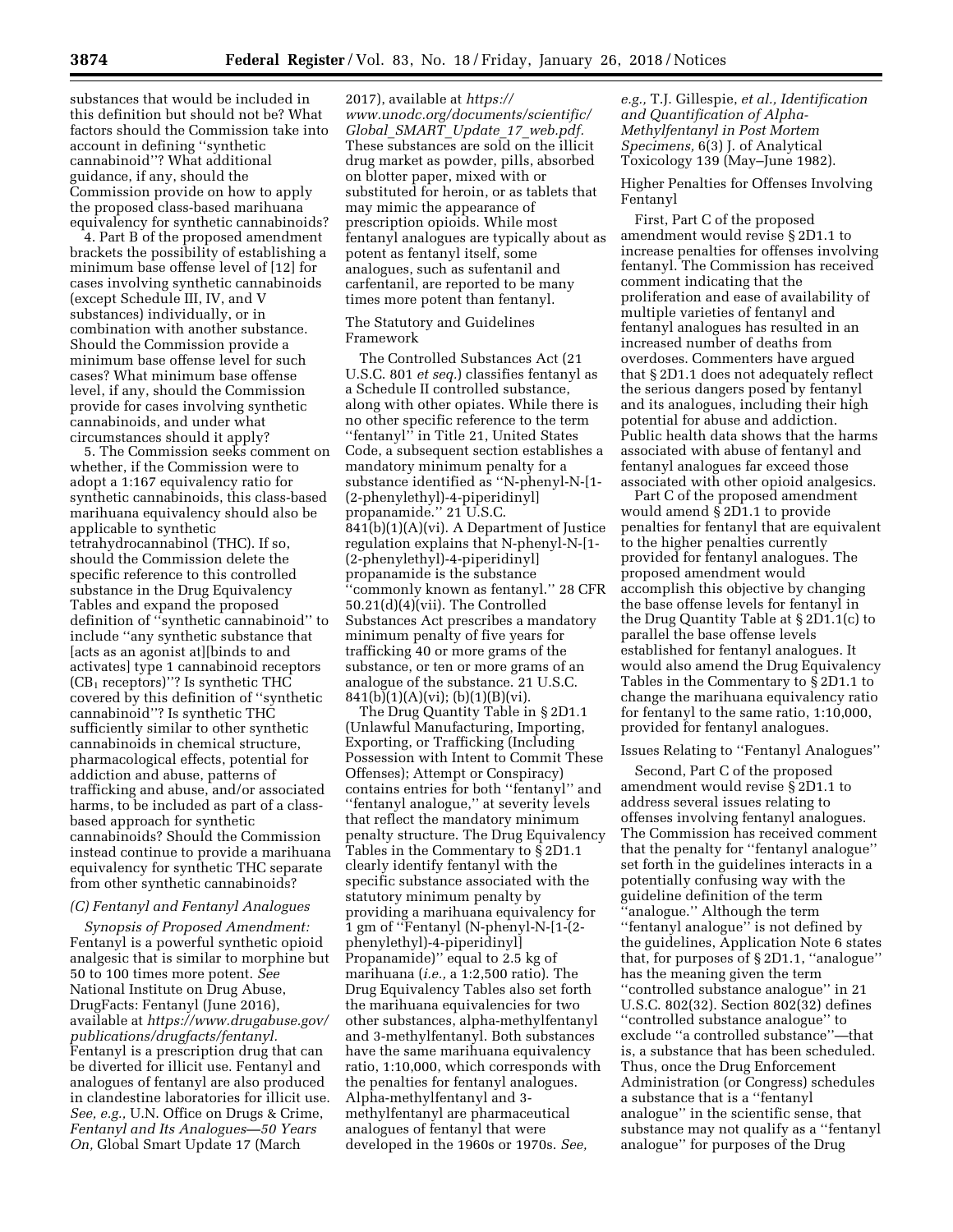substances that would be included in this definition but should not be? What factors should the Commission take into account in defining ''synthetic cannabinoid''? What additional guidance, if any, should the Commission provide on how to apply the proposed class-based marihuana equivalency for synthetic cannabinoids?

4. Part B of the proposed amendment brackets the possibility of establishing a minimum base offense level of [12] for cases involving synthetic cannabinoids (except Schedule III, IV, and V substances) individually, or in combination with another substance. Should the Commission provide a minimum base offense level for such cases? What minimum base offense level, if any, should the Commission provide for cases involving synthetic cannabinoids, and under what circumstances should it apply?

5. The Commission seeks comment on whether, if the Commission were to adopt a 1:167 equivalency ratio for synthetic cannabinoids, this class-based marihuana equivalency should also be applicable to synthetic tetrahydrocannabinol (THC). If so, should the Commission delete the specific reference to this controlled substance in the Drug Equivalency Tables and expand the proposed definition of ''synthetic cannabinoid'' to include ''any synthetic substance that [acts as an agonist at][binds to and activates] type 1 cannabinoid receptors  $(CB<sub>1</sub> receptors)'$ ? Is synthetic THC covered by this definition of ''synthetic cannabinoid''? Is synthetic THC sufficiently similar to other synthetic cannabinoids in chemical structure, pharmacological effects, potential for addiction and abuse, patterns of trafficking and abuse, and/or associated harms, to be included as part of a classbased approach for synthetic cannabinoids? Should the Commission instead continue to provide a marihuana equivalency for synthetic THC separate from other synthetic cannabinoids?

#### *(C) Fentanyl and Fentanyl Analogues*

*Synopsis of Proposed Amendment:*  Fentanyl is a powerful synthetic opioid analgesic that is similar to morphine but 50 to 100 times more potent. *See*  National Institute on Drug Abuse, DrugFacts: Fentanyl (June 2016), available at *[https://www.drugabuse.gov/](https://www.drugabuse.gov/publications/drugfacts/fentanyl) [publications/drugfacts/fentanyl.](https://www.drugabuse.gov/publications/drugfacts/fentanyl)*  Fentanyl is a prescription drug that can be diverted for illicit use. Fentanyl and analogues of fentanyl are also produced in clandestine laboratories for illicit use. *See, e.g.,* U.N. Office on Drugs & Crime, *Fentanyl and Its Analogues—50 Years On,* Global Smart Update 17 (March

2017), available at *[https://](https://www.unodc.org/documents/scientific/Global_SMART_Update_17_web.pdf) [www.unodc.org/documents/scientific/](https://www.unodc.org/documents/scientific/Global_SMART_Update_17_web.pdf) Global*\_*SMART*\_*Update*\_*17*\_*[web.pdf.](https://www.unodc.org/documents/scientific/Global_SMART_Update_17_web.pdf)*  These substances are sold on the illicit drug market as powder, pills, absorbed on blotter paper, mixed with or substituted for heroin, or as tablets that may mimic the appearance of prescription opioids. While most fentanyl analogues are typically about as potent as fentanyl itself, some analogues, such as sufentanil and carfentanil, are reported to be many times more potent than fentanyl.

### The Statutory and Guidelines Framework

The Controlled Substances Act (21 U.S.C. 801 *et seq.*) classifies fentanyl as a Schedule II controlled substance, along with other opiates. While there is no other specific reference to the term ''fentanyl'' in Title 21, United States Code, a subsequent section establishes a mandatory minimum penalty for a substance identified as ''N-phenyl-N-[1- (2-phenylethyl)-4-piperidinyl] propanamide.'' 21 U.S.C. 841(b)(1)(A)(vi). A Department of Justice regulation explains that N-phenyl-N-[1- (2-phenylethyl)-4-piperidinyl] propanamide is the substance 'commonly known as fentanyl." 28 CFR 50.21(d)(4)(vii). The Controlled Substances Act prescribes a mandatory minimum penalty of five years for trafficking 40 or more grams of the substance, or ten or more grams of an analogue of the substance. 21 U.S.C.  $841(b)(1)(A)(vi); (b)(1)(B)(vi).$ 

The Drug Quantity Table in § 2D1.1 (Unlawful Manufacturing, Importing, Exporting, or Trafficking (Including Possession with Intent to Commit These Offenses); Attempt or Conspiracy) contains entries for both ''fentanyl'' and ''fentanyl analogue,'' at severity levels that reflect the mandatory minimum penalty structure. The Drug Equivalency Tables in the Commentary to § 2D1.1 clearly identify fentanyl with the specific substance associated with the statutory minimum penalty by providing a marihuana equivalency for 1 gm of ''Fentanyl (N-phenyl-N-[1-(2 phenylethyl)-4-piperidinyl] Propanamide)'' equal to 2.5 kg of marihuana (*i.e.,* a 1:2,500 ratio). The Drug Equivalency Tables also set forth the marihuana equivalencies for two other substances, alpha-methylfentanyl and 3-methylfentanyl. Both substances have the same marihuana equivalency ratio, 1:10,000, which corresponds with the penalties for fentanyl analogues. Alpha-methylfentanyl and 3 methylfentanyl are pharmaceutical analogues of fentanyl that were developed in the 1960s or 1970s. *See,* 

*e.g.,* T.J. Gillespie, *et al., Identification and Quantification of Alpha-Methylfentanyl in Post Mortem Specimens,* 6(3) J. of Analytical Toxicology 139 (May–June 1982).

Higher Penalties for Offenses Involving Fentanyl

First, Part C of the proposed amendment would revise § 2D1.1 to increase penalties for offenses involving fentanyl. The Commission has received comment indicating that the proliferation and ease of availability of multiple varieties of fentanyl and fentanyl analogues has resulted in an increased number of deaths from overdoses. Commenters have argued that § 2D1.1 does not adequately reflect the serious dangers posed by fentanyl and its analogues, including their high potential for abuse and addiction. Public health data shows that the harms associated with abuse of fentanyl and fentanyl analogues far exceed those associated with other opioid analgesics.

Part C of the proposed amendment would amend § 2D1.1 to provide penalties for fentanyl that are equivalent to the higher penalties currently provided for fentanyl analogues. The proposed amendment would accomplish this objective by changing the base offense levels for fentanyl in the Drug Quantity Table at § 2D1.1(c) to parallel the base offense levels established for fentanyl analogues. It would also amend the Drug Equivalency Tables in the Commentary to § 2D1.1 to change the marihuana equivalency ratio for fentanyl to the same ratio, 1:10,000, provided for fentanyl analogues.

#### Issues Relating to ''Fentanyl Analogues''

Second, Part C of the proposed amendment would revise § 2D1.1 to address several issues relating to offenses involving fentanyl analogues. The Commission has received comment that the penalty for ''fentanyl analogue'' set forth in the guidelines interacts in a potentially confusing way with the guideline definition of the term ''analogue.'' Although the term ''fentanyl analogue'' is not defined by the guidelines, Application Note 6 states that, for purposes of § 2D1.1, ''analogue'' has the meaning given the term ''controlled substance analogue'' in 21 U.S.C. 802(32). Section 802(32) defines ''controlled substance analogue'' to exclude ''a controlled substance''—that is, a substance that has been scheduled. Thus, once the Drug Enforcement Administration (or Congress) schedules a substance that is a ''fentanyl analogue'' in the scientific sense, that substance may not qualify as a ''fentanyl analogue'' for purposes of the Drug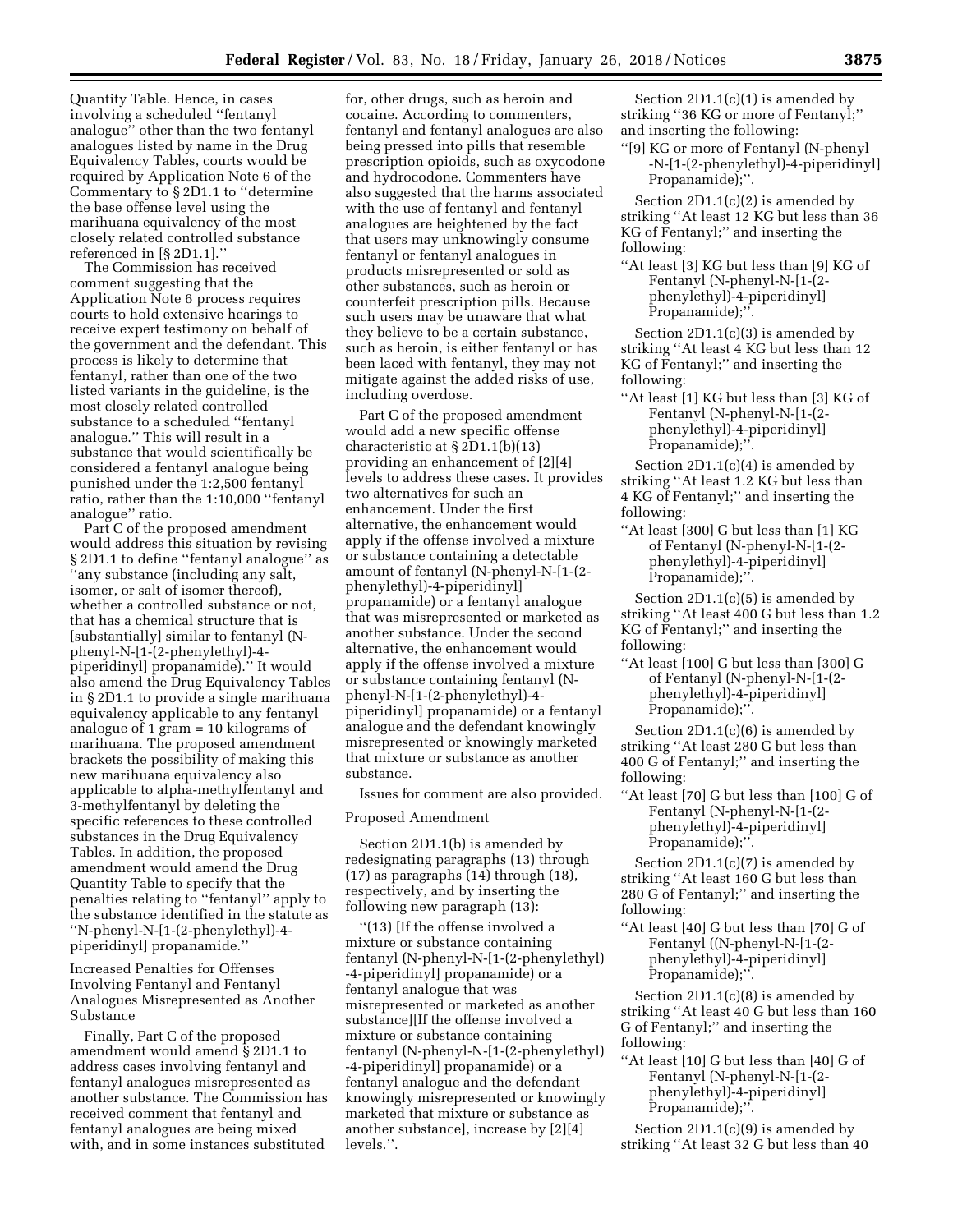Quantity Table. Hence, in cases involving a scheduled ''fentanyl analogue'' other than the two fentanyl analogues listed by name in the Drug Equivalency Tables, courts would be required by Application Note 6 of the Commentary to § 2D1.1 to ''determine the base offense level using the marihuana equivalency of the most closely related controlled substance referenced in [§ 2D1.1].''

The Commission has received comment suggesting that the Application Note 6 process requires courts to hold extensive hearings to receive expert testimony on behalf of the government and the defendant. This process is likely to determine that fentanyl, rather than one of the two listed variants in the guideline, is the most closely related controlled substance to a scheduled ''fentanyl analogue.'' This will result in a substance that would scientifically be considered a fentanyl analogue being punished under the 1:2,500 fentanyl ratio, rather than the 1:10,000 ''fentanyl analogue'' ratio.

Part C of the proposed amendment would address this situation by revising § 2D1.1 to define "fentanyl analogue" as ''any substance (including any salt, isomer, or salt of isomer thereof), whether a controlled substance or not, that has a chemical structure that is [substantially] similar to fentanyl (Nphenyl-N-[1-(2-phenylethyl)-4 piperidinyl] propanamide).'' It would also amend the Drug Equivalency Tables in § 2D1.1 to provide a single marihuana equivalency applicable to any fentanyl analogue of 1 gram = 10 kilograms of marihuana. The proposed amendment brackets the possibility of making this new marihuana equivalency also applicable to alpha-methylfentanyl and 3-methylfentanyl by deleting the specific references to these controlled substances in the Drug Equivalency Tables. In addition, the proposed amendment would amend the Drug Quantity Table to specify that the penalties relating to ''fentanyl'' apply to the substance identified in the statute as ''N-phenyl-N-[1-(2-phenylethyl)-4 piperidinyl] propanamide.''

Increased Penalties for Offenses Involving Fentanyl and Fentanyl Analogues Misrepresented as Another Substance

Finally, Part C of the proposed amendment would amend § 2D1.1 to address cases involving fentanyl and fentanyl analogues misrepresented as another substance. The Commission has received comment that fentanyl and fentanyl analogues are being mixed with, and in some instances substituted

for, other drugs, such as heroin and cocaine. According to commenters, fentanyl and fentanyl analogues are also being pressed into pills that resemble prescription opioids, such as oxycodone and hydrocodone. Commenters have also suggested that the harms associated with the use of fentanyl and fentanyl analogues are heightened by the fact that users may unknowingly consume fentanyl or fentanyl analogues in products misrepresented or sold as other substances, such as heroin or counterfeit prescription pills. Because such users may be unaware that what they believe to be a certain substance, such as heroin, is either fentanyl or has been laced with fentanyl, they may not mitigate against the added risks of use, including overdose.

Part C of the proposed amendment would add a new specific offense characteristic at § 2D1.1(b)(13) providing an enhancement of [2][4] levels to address these cases. It provides two alternatives for such an enhancement. Under the first alternative, the enhancement would apply if the offense involved a mixture or substance containing a detectable amount of fentanyl (N-phenyl-N-[1-(2 phenylethyl)-4-piperidinyl] propanamide) or a fentanyl analogue that was misrepresented or marketed as another substance. Under the second alternative, the enhancement would apply if the offense involved a mixture or substance containing fentanyl (Nphenyl-N-[1-(2-phenylethyl)-4 piperidinyl] propanamide) or a fentanyl analogue and the defendant knowingly misrepresented or knowingly marketed that mixture or substance as another substance.

Issues for comment are also provided.

Proposed Amendment

Section 2D1.1(b) is amended by redesignating paragraphs (13) through (17) as paragraphs (14) through (18), respectively, and by inserting the following new paragraph (13):

''(13) [If the offense involved a mixture or substance containing fentanyl (N-phenyl-N-[1-(2-phenylethyl) -4-piperidinyl] propanamide) or a fentanyl analogue that was misrepresented or marketed as another substance][If the offense involved a mixture or substance containing fentanyl (N-phenyl-N-[1-(2-phenylethyl) -4-piperidinyl] propanamide) or a fentanyl analogue and the defendant knowingly misrepresented or knowingly marketed that mixture or substance as another substance], increase by [2][4] levels.''.

Section 2D1.1(c)(1) is amended by striking ''36 KG or more of Fentanyl;'' and inserting the following:

''[9] KG or more of Fentanyl (N-phenyl -N-[1-(2-phenylethyl)-4-piperidinyl] Propanamide);''.

Section 2D1.1(c)(2) is amended by striking ''At least 12 KG but less than 36 KG of Fentanyl;'' and inserting the following:

''At least [3] KG but less than [9] KG of Fentanyl (N-phenyl-N-[1-(2 phenylethyl)-4-piperidinyl] Propanamide);''.

Section 2D1.1(c)(3) is amended by striking ''At least 4 KG but less than 12 KG of Fentanyl;'' and inserting the following:

''At least [1] KG but less than [3] KG of Fentanyl (N-phenyl-N-[1-(2 phenylethyl)-4-piperidinyl] Propanamide);''.

Section 2D1.1(c)(4) is amended by striking ''At least 1.2 KG but less than 4 KG of Fentanyl;'' and inserting the following:

''At least [300] G but less than [1] KG of Fentanyl (N-phenyl-N-[1-(2 phenylethyl)-4-piperidinyl] Propanamide);''.

Section 2D1.1(c)(5) is amended by striking ''At least 400 G but less than 1.2 KG of Fentanyl;'' and inserting the following:

''At least [100] G but less than [300] G of Fentanyl (N-phenyl-N-[1-(2 phenylethyl)-4-piperidinyl] Propanamide);''.

Section 2D1.1(c)(6) is amended by striking ''At least 280 G but less than 400 G of Fentanyl;'' and inserting the following:

''At least [70] G but less than [100] G of Fentanyl (N-phenyl-N-[1-(2 phenylethyl)-4-piperidinyl] Propanamide);''.

Section 2D1.1(c)(7) is amended by striking ''At least 160 G but less than 280 G of Fentanyl;'' and inserting the following:

''At least [40] G but less than [70] G of Fentanyl ((N-phenyl-N-[1-(2 phenylethyl)-4-piperidinyl] Propanamide);'

Section 2D1.1(c)(8) is amended by striking ''At least 40 G but less than 160 G of Fentanyl;'' and inserting the following:

''At least [10] G but less than [40] G of Fentanyl (N-phenyl-N-[1-(2 phenylethyl)-4-piperidinyl] Propanamide);''.

Section 2D1.1(c)(9) is amended by striking ''At least 32 G but less than 40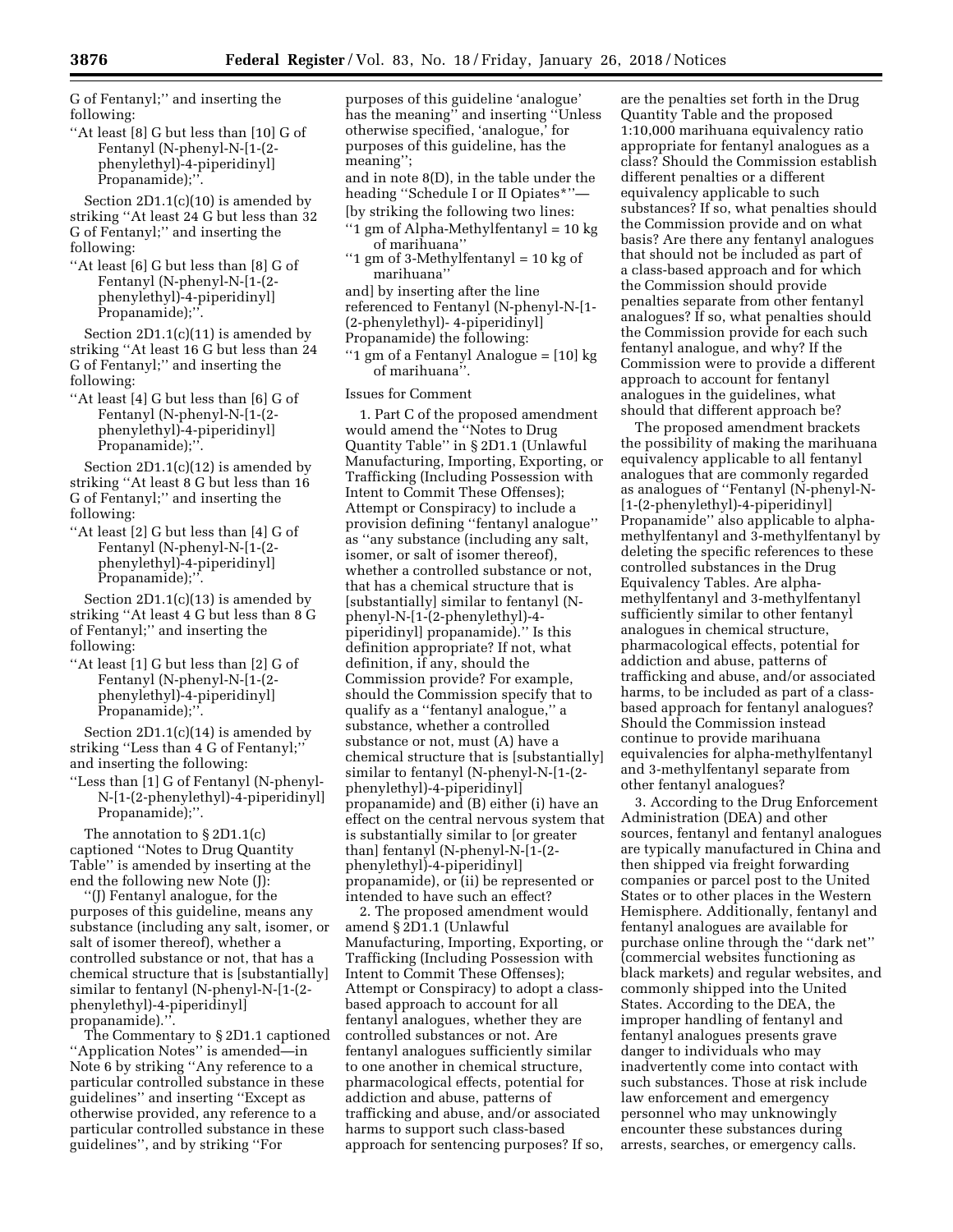G of Fentanyl;'' and inserting the following:

''At least [8] G but less than [10] G of Fentanyl (N-phenyl-N-[1-(2 phenylethyl)-4-piperidinyl] Propanamide);''.

Section 2D1.1(c)(10) is amended by striking ''At least 24 G but less than 32 G of Fentanyl;'' and inserting the following:

''At least [6] G but less than [8] G of Fentanyl (N-phenyl-N-[1-(2 phenylethyl)-4-piperidinyl] Propanamide);''.

Section 2D1.1(c)(11) is amended by striking "At least 16 G but less than 24 G of Fentanyl;'' and inserting the following:

''At least [4] G but less than [6] G of Fentanyl (N-phenyl-N-[1-(2 phenylethyl)-4-piperidinyl] Propanamide);''.

Section 2D1.1(c)(12) is amended by striking ''At least 8 G but less than 16 G of Fentanyl;'' and inserting the following:

''At least [2] G but less than [4] G of Fentanyl (N-phenyl-N-[1-(2 phenylethyl)-4-piperidinyl] Propanamide);''.

Section 2D1.1(c)(13) is amended by striking ''At least 4 G but less than 8 G of Fentanyl;'' and inserting the following:

''At least [1] G but less than [2] G of Fentanyl (N-phenyl-N-[1-(2 phenylethyl)-4-piperidinyl] Propanamide);''.

Section 2D1.1(c)(14) is amended by striking ''Less than 4 G of Fentanyl;'' and inserting the following:

''Less than [1] G of Fentanyl (N-phenyl-N-[1-(2-phenylethyl)-4-piperidinyl] Propanamide);''.

The annotation to § 2D1.1(c) captioned ''Notes to Drug Quantity Table'' is amended by inserting at the end the following new Note (J):

''(J) Fentanyl analogue, for the purposes of this guideline, means any substance (including any salt, isomer, or salt of isomer thereof), whether a controlled substance or not, that has a chemical structure that is [substantially] similar to fentanyl (N-phenyl-N-[1-(2 phenylethyl)-4-piperidinyl] propanamide)."

The Commentary to § 2D1.1 captioned ''Application Notes'' is amended—in Note 6 by striking ''Any reference to a particular controlled substance in these guidelines'' and inserting ''Except as otherwise provided, any reference to a particular controlled substance in these guidelines'', and by striking ''For

purposes of this guideline 'analogue' has the meaning'' and inserting ''Unless otherwise specified, 'analogue,' for purposes of this guideline, has the meaning''; and in note 8(D), in the table under the heading ''Schedule I or II Opiates\*''— [by striking the following two lines:

- ''1 gm of Alpha-Methylfentanyl = 10 kg of marihuana''
- ''1 gm of 3-Methylfentanyl = 10 kg of marihuana''
- and] by inserting after the line
- referenced to Fentanyl (N-phenyl-N-[1-
- (2-phenylethyl)- 4-piperidinyl]
- Propanamide) the following:
- ''1 gm of a Fentanyl Analogue = [10] kg of marihuana''.

## Issues for Comment

1. Part C of the proposed amendment would amend the ''Notes to Drug Quantity Table'' in § 2D1.1 (Unlawful Manufacturing, Importing, Exporting, or Trafficking (Including Possession with Intent to Commit These Offenses); Attempt or Conspiracy) to include a provision defining ''fentanyl analogue'' as ''any substance (including any salt, isomer, or salt of isomer thereof), whether a controlled substance or not, that has a chemical structure that is [substantially] similar to fentanyl (Nphenyl-N-[1-(2-phenylethyl)-4 piperidinyl] propanamide).'' Is this definition appropriate? If not, what definition, if any, should the Commission provide? For example, should the Commission specify that to qualify as a ''fentanyl analogue,'' a substance, whether a controlled substance or not, must (A) have a chemical structure that is [substantially] similar to fentanyl (N-phenyl-N-[1-(2 phenylethyl)-4-piperidinyl] propanamide) and (B) either (i) have an effect on the central nervous system that is substantially similar to [or greater than] fentanyl (N-phenyl-N-[1-(2 phenylethyl)-4-piperidinyl] propanamide), or (ii) be represented or intended to have such an effect?

2. The proposed amendment would amend § 2D1.1 (Unlawful Manufacturing, Importing, Exporting, or Trafficking (Including Possession with Intent to Commit These Offenses); Attempt or Conspiracy) to adopt a classbased approach to account for all fentanyl analogues, whether they are controlled substances or not. Are fentanyl analogues sufficiently similar to one another in chemical structure, pharmacological effects, potential for addiction and abuse, patterns of trafficking and abuse, and/or associated harms to support such class-based approach for sentencing purposes? If so,

are the penalties set forth in the Drug Quantity Table and the proposed 1:10,000 marihuana equivalency ratio appropriate for fentanyl analogues as a class? Should the Commission establish different penalties or a different equivalency applicable to such substances? If so, what penalties should the Commission provide and on what basis? Are there any fentanyl analogues that should not be included as part of a class-based approach and for which the Commission should provide penalties separate from other fentanyl analogues? If so, what penalties should the Commission provide for each such fentanyl analogue, and why? If the Commission were to provide a different approach to account for fentanyl analogues in the guidelines, what should that different approach be?

The proposed amendment brackets the possibility of making the marihuana equivalency applicable to all fentanyl analogues that are commonly regarded as analogues of ''Fentanyl (N-phenyl-N- [1-(2-phenylethyl)-4-piperidinyl] Propanamide'' also applicable to alphamethylfentanyl and 3-methylfentanyl by deleting the specific references to these controlled substances in the Drug Equivalency Tables. Are alphamethylfentanyl and 3-methylfentanyl sufficiently similar to other fentanyl analogues in chemical structure, pharmacological effects, potential for addiction and abuse, patterns of trafficking and abuse, and/or associated harms, to be included as part of a classbased approach for fentanyl analogues? Should the Commission instead continue to provide marihuana equivalencies for alpha-methylfentanyl and 3-methylfentanyl separate from other fentanyl analogues?

3. According to the Drug Enforcement Administration (DEA) and other sources, fentanyl and fentanyl analogues are typically manufactured in China and then shipped via freight forwarding companies or parcel post to the United States or to other places in the Western Hemisphere. Additionally, fentanyl and fentanyl analogues are available for purchase online through the ''dark net'' (commercial websites functioning as black markets) and regular websites, and commonly shipped into the United States. According to the DEA, the improper handling of fentanyl and fentanyl analogues presents grave danger to individuals who may inadvertently come into contact with such substances. Those at risk include law enforcement and emergency personnel who may unknowingly encounter these substances during arrests, searches, or emergency calls.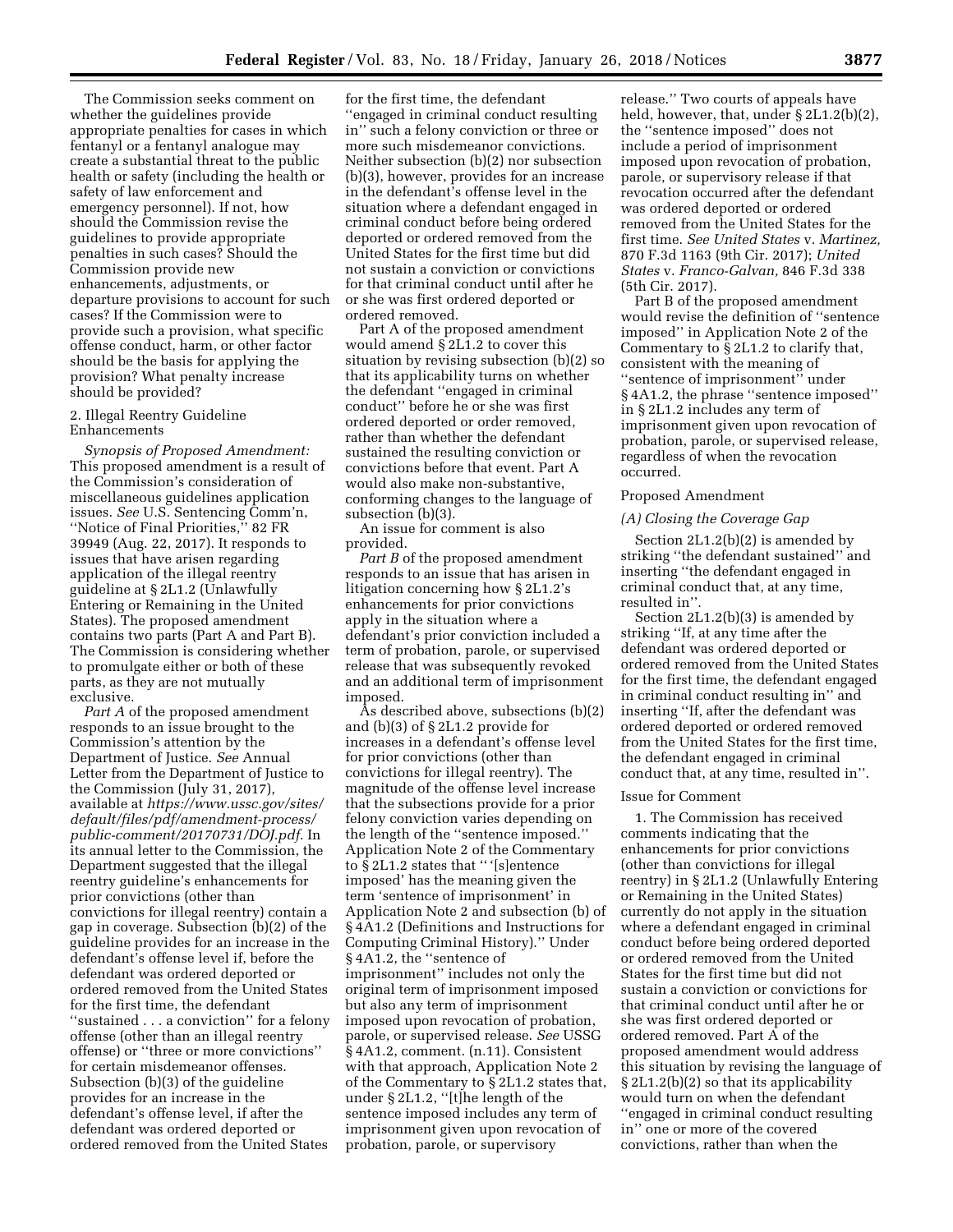The Commission seeks comment on whether the guidelines provide appropriate penalties for cases in which fentanyl or a fentanyl analogue may create a substantial threat to the public health or safety (including the health or safety of law enforcement and emergency personnel). If not, how should the Commission revise the guidelines to provide appropriate penalties in such cases? Should the Commission provide new enhancements, adjustments, or departure provisions to account for such cases? If the Commission were to provide such a provision, what specific offense conduct, harm, or other factor should be the basis for applying the provision? What penalty increase should be provided?

#### 2. Illegal Reentry Guideline Enhancements

*Synopsis of Proposed Amendment:*  This proposed amendment is a result of the Commission's consideration of miscellaneous guidelines application issues. *See* U.S. Sentencing Comm'n, ''Notice of Final Priorities,'' 82 FR 39949 (Aug. 22, 2017). It responds to issues that have arisen regarding application of the illegal reentry guideline at § 2L1.2 (Unlawfully Entering or Remaining in the United States). The proposed amendment contains two parts (Part A and Part B). The Commission is considering whether to promulgate either or both of these parts, as they are not mutually exclusive.

*Part A* of the proposed amendment responds to an issue brought to the Commission's attention by the Department of Justice. *See* Annual Letter from the Department of Justice to the Commission (July 31, 2017), available at *[https://www.ussc.gov/sites/](https://www.ussc.gov/sites/default/files/pdf/amendment-process/public-comment/20170731/DOJ.pdf)  [default/files/pdf/amendment-process/](https://www.ussc.gov/sites/default/files/pdf/amendment-process/public-comment/20170731/DOJ.pdf)  [public-comment/20170731/DOJ.pdf.](https://www.ussc.gov/sites/default/files/pdf/amendment-process/public-comment/20170731/DOJ.pdf)* In its annual letter to the Commission, the Department suggested that the illegal reentry guideline's enhancements for prior convictions (other than convictions for illegal reentry) contain a gap in coverage. Subsection (b)(2) of the guideline provides for an increase in the defendant's offense level if, before the defendant was ordered deported or ordered removed from the United States for the first time, the defendant ''sustained . . . a conviction'' for a felony offense (other than an illegal reentry offense) or ''three or more convictions'' for certain misdemeanor offenses. Subsection (b)(3) of the guideline provides for an increase in the defendant's offense level, if after the defendant was ordered deported or ordered removed from the United States

for the first time, the defendant ''engaged in criminal conduct resulting in'' such a felony conviction or three or more such misdemeanor convictions. Neither subsection (b)(2) nor subsection (b)(3), however, provides for an increase in the defendant's offense level in the situation where a defendant engaged in criminal conduct before being ordered deported or ordered removed from the United States for the first time but did not sustain a conviction or convictions for that criminal conduct until after he or she was first ordered deported or ordered removed.

Part A of the proposed amendment would amend § 2L1.2 to cover this situation by revising subsection (b)(2) so that its applicability turns on whether the defendant ''engaged in criminal conduct'' before he or she was first ordered deported or order removed, rather than whether the defendant sustained the resulting conviction or convictions before that event. Part A would also make non-substantive, conforming changes to the language of subsection (b)(3).

An issue for comment is also provided.

*Part B* of the proposed amendment responds to an issue that has arisen in litigation concerning how § 2L1.2's enhancements for prior convictions apply in the situation where a defendant's prior conviction included a term of probation, parole, or supervised release that was subsequently revoked and an additional term of imprisonment imposed.

As described above, subsections (b)(2) and (b)(3) of § 2L1.2 provide for increases in a defendant's offense level for prior convictions (other than convictions for illegal reentry). The magnitude of the offense level increase that the subsections provide for a prior felony conviction varies depending on the length of the ''sentence imposed.'' Application Note 2 of the Commentary to § 2L1.2 states that '' '[s]entence imposed' has the meaning given the term 'sentence of imprisonment' in Application Note 2 and subsection (b) of § 4A1.2 (Definitions and Instructions for Computing Criminal History).'' Under § 4A1.2, the ''sentence of imprisonment'' includes not only the original term of imprisonment imposed but also any term of imprisonment imposed upon revocation of probation, parole, or supervised release. *See* USSG § 4A1.2, comment. (n.11). Consistent with that approach, Application Note 2 of the Commentary to § 2L1.2 states that, under § 2L1.2, ''[t]he length of the sentence imposed includes any term of imprisonment given upon revocation of probation, parole, or supervisory

release.'' Two courts of appeals have held, however, that, under § 2L1.2(b)(2), the ''sentence imposed'' does not include a period of imprisonment imposed upon revocation of probation, parole, or supervisory release if that revocation occurred after the defendant was ordered deported or ordered removed from the United States for the first time. *See United States* v. *Martinez,*  870 F.3d 1163 (9th Cir. 2017); *United States* v. *Franco-Galvan,* 846 F.3d 338 (5th Cir. 2017).

Part B of the proposed amendment would revise the definition of ''sentence imposed'' in Application Note 2 of the Commentary to § 2L1.2 to clarify that, consistent with the meaning of ''sentence of imprisonment'' under § 4A1.2, the phrase ''sentence imposed'' in § 2L1.2 includes any term of imprisonment given upon revocation of probation, parole, or supervised release, regardless of when the revocation occurred.

#### Proposed Amendment

#### *(A) Closing the Coverage Gap*

Section 2L1.2(b)(2) is amended by striking ''the defendant sustained'' and inserting ''the defendant engaged in criminal conduct that, at any time, resulted in''.

Section 2L1.2(b)(3) is amended by striking ''If, at any time after the defendant was ordered deported or ordered removed from the United States for the first time, the defendant engaged in criminal conduct resulting in'' and inserting ''If, after the defendant was ordered deported or ordered removed from the United States for the first time, the defendant engaged in criminal conduct that, at any time, resulted in''.

#### Issue for Comment

1. The Commission has received comments indicating that the enhancements for prior convictions (other than convictions for illegal reentry) in § 2L1.2 (Unlawfully Entering or Remaining in the United States) currently do not apply in the situation where a defendant engaged in criminal conduct before being ordered deported or ordered removed from the United States for the first time but did not sustain a conviction or convictions for that criminal conduct until after he or she was first ordered deported or ordered removed. Part A of the proposed amendment would address this situation by revising the language of § 2L1.2(b)(2) so that its applicability would turn on when the defendant ''engaged in criminal conduct resulting in'' one or more of the covered convictions, rather than when the